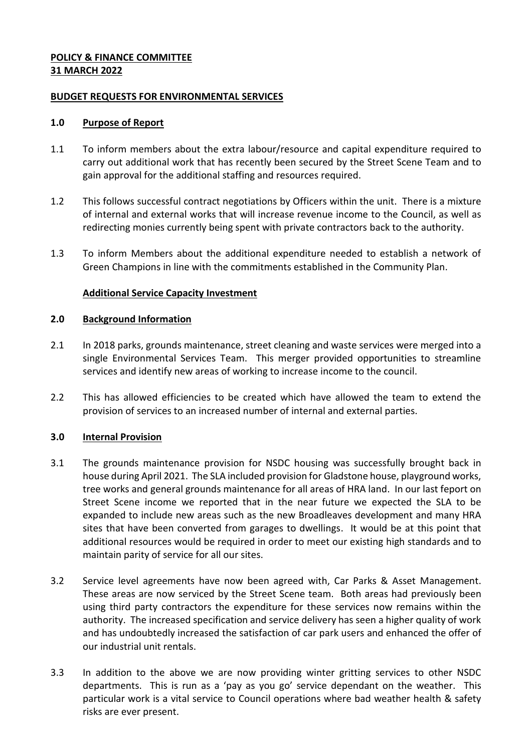### **POLICY & FINANCE COMMITTEE 31 MARCH 2022**

### **BUDGET REQUESTS FOR ENVIRONMENTAL SERVICES**

### **1.0 Purpose of Report**

- 1.1 To inform members about the extra labour/resource and capital expenditure required to carry out additional work that has recently been secured by the Street Scene Team and to gain approval for the additional staffing and resources required.
- 1.2 This follows successful contract negotiations by Officers within the unit. There is a mixture of internal and external works that will increase revenue income to the Council, as well as redirecting monies currently being spent with private contractors back to the authority.
- 1.3 To inform Members about the additional expenditure needed to establish a network of Green Champions in line with the commitments established in the Community Plan.

# **Additional Service Capacity Investment**

### **2.0 Background Information**

- 2.1 In 2018 parks, grounds maintenance, street cleaning and waste services were merged into a single Environmental Services Team. This merger provided opportunities to streamline services and identify new areas of working to increase income to the council.
- 2.2 This has allowed efficiencies to be created which have allowed the team to extend the provision of services to an increased number of internal and external parties.

# **3.0 Internal Provision**

- 3.1 The grounds maintenance provision for NSDC housing was successfully brought back in house during April 2021. The SLA included provision for Gladstone house, playground works, tree works and general grounds maintenance for all areas of HRA land. In our last feport on Street Scene income we reported that in the near future we expected the SLA to be expanded to include new areas such as the new Broadleaves development and many HRA sites that have been converted from garages to dwellings. It would be at this point that additional resources would be required in order to meet our existing high standards and to maintain parity of service for all our sites.
- 3.2 Service level agreements have now been agreed with, Car Parks & Asset Management. These areas are now serviced by the Street Scene team. Both areas had previously been using third party contractors the expenditure for these services now remains within the authority. The increased specification and service delivery has seen a higher quality of work and has undoubtedly increased the satisfaction of car park users and enhanced the offer of our industrial unit rentals.
- 3.3 In addition to the above we are now providing winter gritting services to other NSDC departments. This is run as a 'pay as you go' service dependant on the weather. This particular work is a vital service to Council operations where bad weather health & safety risks are ever present.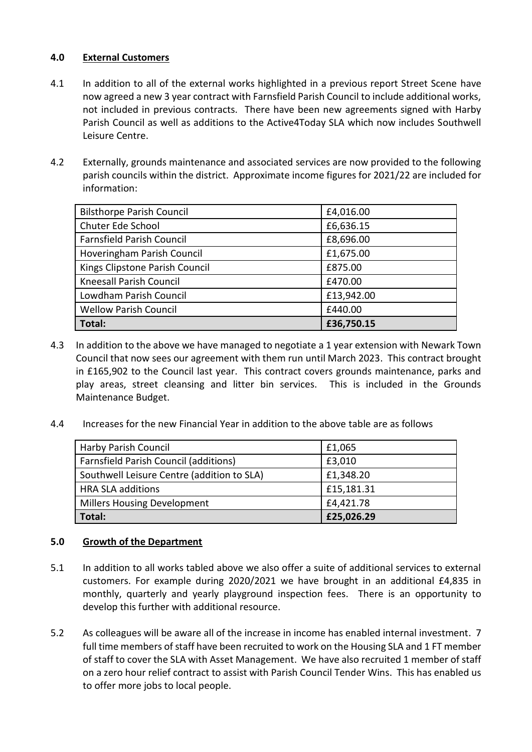### **4.0 External Customers**

- 4.1 In addition to all of the external works highlighted in a previous report Street Scene have now agreed a new 3 year contract with Farnsfield Parish Council to include additional works, not included in previous contracts. There have been new agreements signed with Harby Parish Council as well as additions to the Active4Today SLA which now includes Southwell Leisure Centre.
- 4.2 Externally, grounds maintenance and associated services are now provided to the following parish councils within the district. Approximate income figures for 2021/22 are included for information:

| <b>Bilsthorpe Parish Council</b> | £4,016.00  |
|----------------------------------|------------|
| Chuter Ede School                | £6,636.15  |
| <b>Farnsfield Parish Council</b> | £8,696.00  |
| Hoveringham Parish Council       | £1,675.00  |
| Kings Clipstone Parish Council   | £875.00    |
| Kneesall Parish Council          | £470.00    |
| Lowdham Parish Council           | £13,942.00 |
| <b>Wellow Parish Council</b>     | £440.00    |
| Total:                           | £36,750.15 |

- 4.3 In addition to the above we have managed to negotiate a 1 year extension with Newark Town Council that now sees our agreement with them run until March 2023. This contract brought in £165,902 to the Council last year. This contract covers grounds maintenance, parks and play areas, street cleansing and litter bin services. This is included in the Grounds Maintenance Budget.
- 4.4 Increases for the new Financial Year in addition to the above table are as follows

| <b>Harby Parish Council</b>                  | £1,065     |
|----------------------------------------------|------------|
| <b>Farnsfield Parish Council (additions)</b> | £3,010     |
| Southwell Leisure Centre (addition to SLA)   | £1,348.20  |
| <b>HRA SLA additions</b>                     | £15,181.31 |
| <b>Millers Housing Development</b>           | £4,421.78  |
| Total:                                       | £25,026.29 |

### **5.0 Growth of the Department**

- 5.1 In addition to all works tabled above we also offer a suite of additional services to external customers. For example during 2020/2021 we have brought in an additional £4,835 in monthly, quarterly and yearly playground inspection fees. There is an opportunity to develop this further with additional resource.
- 5.2 As colleagues will be aware all of the increase in income has enabled internal investment. 7 full time members of staff have been recruited to work on the Housing SLA and 1 FT member of staff to cover the SLA with Asset Management. We have also recruited 1 member of staff on a zero hour relief contract to assist with Parish Council Tender Wins. This has enabled us to offer more jobs to local people.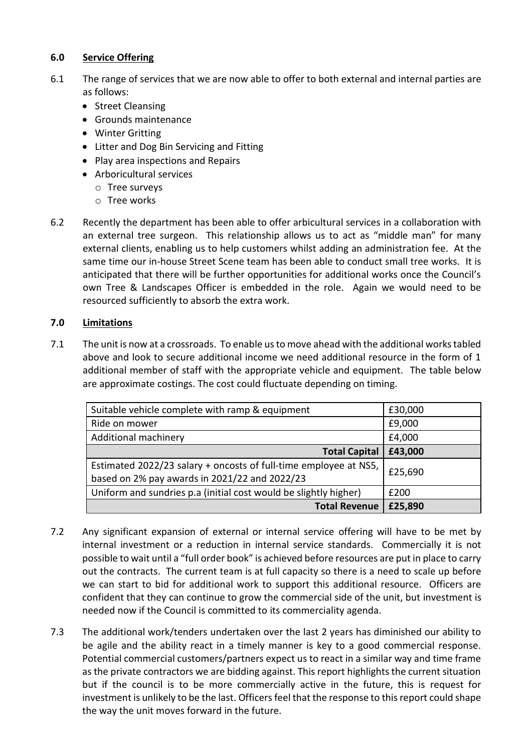# **6.0 Service Offering**

- 6.1 The range of services that we are now able to offer to both external and internal parties are as follows:
	- Street Cleansing
	- Grounds maintenance
	- Winter Gritting
	- Litter and Dog Bin Servicing and Fitting
	- Play area inspections and Repairs
	- Arboricultural services
		- o Tree surveys
		- o Tree works
- 6.2 Recently the department has been able to offer arbicultural services in a collaboration with an external tree surgeon. This relationship allows us to act as "middle man" for many external clients, enabling us to help customers whilst adding an administration fee. At the same time our in-house Street Scene team has been able to conduct small tree works. It is anticipated that there will be further opportunities for additional works once the Council's own Tree & Landscapes Officer is embedded in the role. Again we would need to be resourced sufficiently to absorb the extra work.

# **7.0 Limitations**

7.1 The unit is now at a crossroads. To enable us to move ahead with the additional works tabled above and look to secure additional income we need additional resource in the form of 1 additional member of staff with the appropriate vehicle and equipment. The table below are approximate costings. The cost could fluctuate depending on timing.

| Suitable vehicle complete with ramp & equipment                                                                   | £30,000 |
|-------------------------------------------------------------------------------------------------------------------|---------|
| Ride on mower                                                                                                     | £9,000  |
| Additional machinery                                                                                              | £4,000  |
| <b>Total Capital</b>                                                                                              | £43,000 |
| Estimated 2022/23 salary + oncosts of full-time employee at NS5,<br>based on 2% pay awards in 2021/22 and 2022/23 | £25,690 |
| Uniform and sundries p.a (initial cost would be slightly higher)                                                  | £200    |
| <b>Total Revenue</b>                                                                                              | £25,890 |

- 7.2 Any significant expansion of external or internal service offering will have to be met by internal investment or a reduction in internal service standards. Commercially it is not possible to wait until a "full order book" is achieved before resources are put in place to carry out the contracts. The current team is at full capacity so there is a need to scale up before we can start to bid for additional work to support this additional resource. Officers are confident that they can continue to grow the commercial side of the unit, but investment is needed now if the Council is committed to its commerciality agenda.
- 7.3 The additional work/tenders undertaken over the last 2 years has diminished our ability to be agile and the ability react in a timely manner is key to a good commercial response. Potential commercial customers/partners expect us to react in a similar way and time frame as the private contractors we are bidding against. This report highlights the current situation but if the council is to be more commercially active in the future, this is request for investment is unlikely to be the last. Officers feel that the response to this report could shape the way the unit moves forward in the future.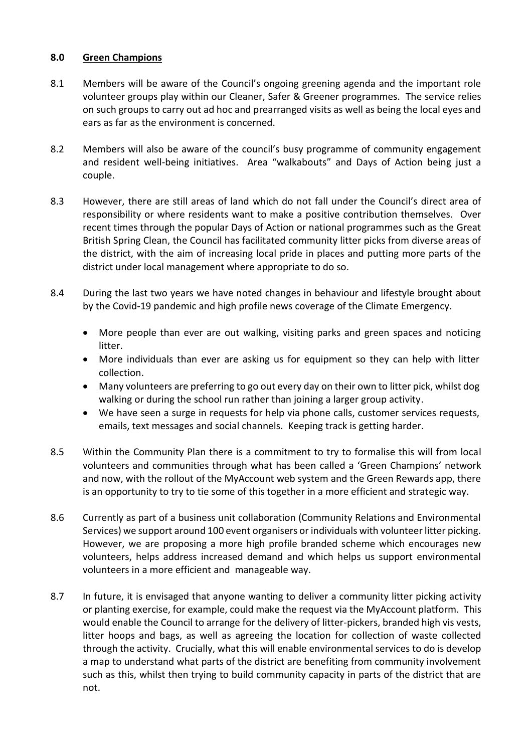### **8.0 Green Champions**

- 8.1 Members will be aware of the Council's ongoing greening agenda and the important role volunteer groups play within our Cleaner, Safer & Greener programmes. The service relies on such groups to carry out ad hoc and prearranged visits as well as being the local eyes and ears as far as the environment is concerned.
- 8.2 Members will also be aware of the council's busy programme of community engagement and resident well-being initiatives. Area "walkabouts" and Days of Action being just a couple.
- 8.3 However, there are still areas of land which do not fall under the Council's direct area of responsibility or where residents want to make a positive contribution themselves. Over recent times through the popular Days of Action or national programmes such as the Great British Spring Clean, the Council has facilitated community litter picks from diverse areas of the district, with the aim of increasing local pride in places and putting more parts of the district under local management where appropriate to do so.
- 8.4 During the last two years we have noted changes in behaviour and lifestyle brought about by the Covid-19 pandemic and high profile news coverage of the Climate Emergency.
	- More people than ever are out walking, visiting parks and green spaces and noticing litter.
	- More individuals than ever are asking us for equipment so they can help with litter collection.
	- Many volunteers are preferring to go out every day on their own to litter pick, whilst dog walking or during the school run rather than joining a larger group activity.
	- We have seen a surge in requests for help via phone calls, customer services requests, emails, text messages and social channels. Keeping track is getting harder.
- 8.5 Within the Community Plan there is a commitment to try to formalise this will from local volunteers and communities through what has been called a 'Green Champions' network and now, with the rollout of the MyAccount web system and the Green Rewards app, there is an opportunity to try to tie some of this together in a more efficient and strategic way.
- 8.6 Currently as part of a business unit collaboration (Community Relations and Environmental Services) we support around 100 event organisers or individuals with volunteer litter picking. However, we are proposing a more high profile branded scheme which encourages new volunteers, helps address increased demand and which helps us support environmental volunteers in a more efficient and manageable way.
- 8.7 In future, it is envisaged that anyone wanting to deliver a community litter picking activity or planting exercise, for example, could make the request via the MyAccount platform. This would enable the Council to arrange for the delivery of litter-pickers, branded high vis vests, litter hoops and bags, as well as agreeing the location for collection of waste collected through the activity. Crucially, what this will enable environmental services to do is develop a map to understand what parts of the district are benefiting from community involvement such as this, whilst then trying to build community capacity in parts of the district that are not.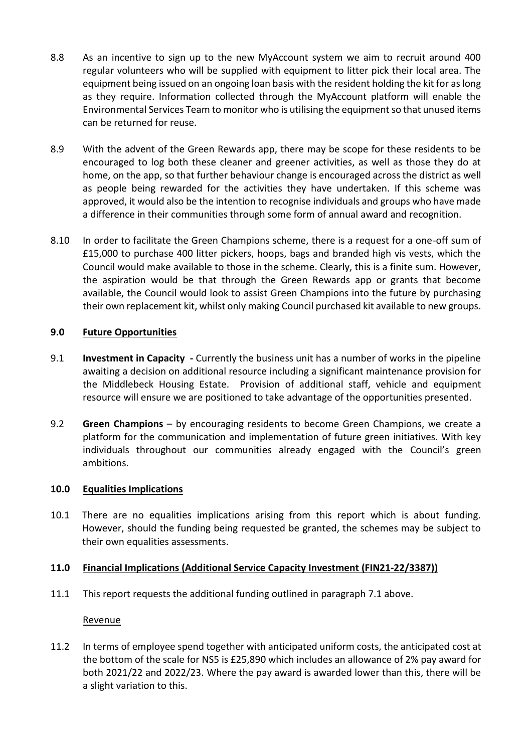- 8.8 As an incentive to sign up to the new MyAccount system we aim to recruit around 400 regular volunteers who will be supplied with equipment to litter pick their local area. The equipment being issued on an ongoing loan basis with the resident holding the kit for as long as they require. Information collected through the MyAccount platform will enable the Environmental Services Team to monitor who is utilising the equipment so that unused items can be returned for reuse.
- 8.9 With the advent of the Green Rewards app, there may be scope for these residents to be encouraged to log both these cleaner and greener activities, as well as those they do at home, on the app, so that further behaviour change is encouraged across the district as well as people being rewarded for the activities they have undertaken. If this scheme was approved, it would also be the intention to recognise individuals and groups who have made a difference in their communities through some form of annual award and recognition.
- 8.10 In order to facilitate the Green Champions scheme, there is a request for a one-off sum of £15,000 to purchase 400 litter pickers, hoops, bags and branded high vis vests, which the Council would make available to those in the scheme. Clearly, this is a finite sum. However, the aspiration would be that through the Green Rewards app or grants that become available, the Council would look to assist Green Champions into the future by purchasing their own replacement kit, whilst only making Council purchased kit available to new groups.

# **9.0 Future Opportunities**

- 9.1 **Investment in Capacity -** Currently the business unit has a number of works in the pipeline awaiting a decision on additional resource including a significant maintenance provision for the Middlebeck Housing Estate. Provision of additional staff, vehicle and equipment resource will ensure we are positioned to take advantage of the opportunities presented.
- 9.2 **Green Champions** by encouraging residents to become Green Champions, we create a platform for the communication and implementation of future green initiatives. With key individuals throughout our communities already engaged with the Council's green ambitions.

### **10.0 Equalities Implications**

10.1 There are no equalities implications arising from this report which is about funding. However, should the funding being requested be granted, the schemes may be subject to their own equalities assessments.

### **11.0 Financial Implications (Additional Service Capacity Investment (FIN21-22/3387))**

11.1 This report requests the additional funding outlined in paragraph 7.1 above.

### Revenue

11.2 In terms of employee spend together with anticipated uniform costs, the anticipated cost at the bottom of the scale for NS5 is £25,890 which includes an allowance of 2% pay award for both 2021/22 and 2022/23. Where the pay award is awarded lower than this, there will be a slight variation to this.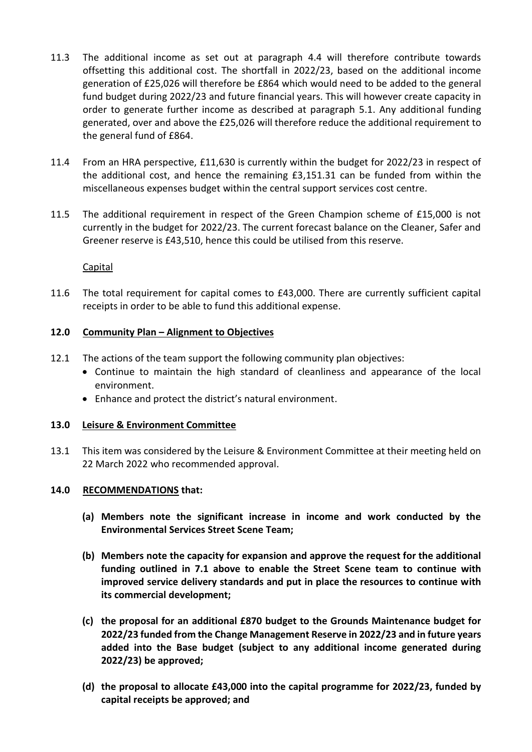- 11.3 The additional income as set out at paragraph 4.4 will therefore contribute towards offsetting this additional cost. The shortfall in 2022/23, based on the additional income generation of £25,026 will therefore be £864 which would need to be added to the general fund budget during 2022/23 and future financial years. This will however create capacity in order to generate further income as described at paragraph 5.1. Any additional funding generated, over and above the £25,026 will therefore reduce the additional requirement to the general fund of £864.
- 11.4 From an HRA perspective, £11,630 is currently within the budget for 2022/23 in respect of the additional cost, and hence the remaining £3,151.31 can be funded from within the miscellaneous expenses budget within the central support services cost centre.
- 11.5 The additional requirement in respect of the Green Champion scheme of £15,000 is not currently in the budget for 2022/23. The current forecast balance on the Cleaner, Safer and Greener reserve is £43,510, hence this could be utilised from this reserve.

**Capital** 

11.6 The total requirement for capital comes to £43,000. There are currently sufficient capital receipts in order to be able to fund this additional expense.

# **12.0 Community Plan – Alignment to Objectives**

- 12.1 The actions of the team support the following community plan objectives:
	- Continue to maintain the high standard of cleanliness and appearance of the local environment.
	- Enhance and protect the district's natural environment.

### **13.0 Leisure & Environment Committee**

13.1 This item was considered by the Leisure & Environment Committee at their meeting held on 22 March 2022 who recommended approval.

### **14.0 RECOMMENDATIONS that:**

- **(a) Members note the significant increase in income and work conducted by the Environmental Services Street Scene Team;**
- **(b) Members note the capacity for expansion and approve the request for the additional funding outlined in 7.1 above to enable the Street Scene team to continue with improved service delivery standards and put in place the resources to continue with its commercial development;**
- **(c) the proposal for an additional £870 budget to the Grounds Maintenance budget for 2022/23 funded from the Change Management Reserve in 2022/23 and in future years added into the Base budget (subject to any additional income generated during 2022/23) be approved;**
- **(d) the proposal to allocate £43,000 into the capital programme for 2022/23, funded by capital receipts be approved; and**